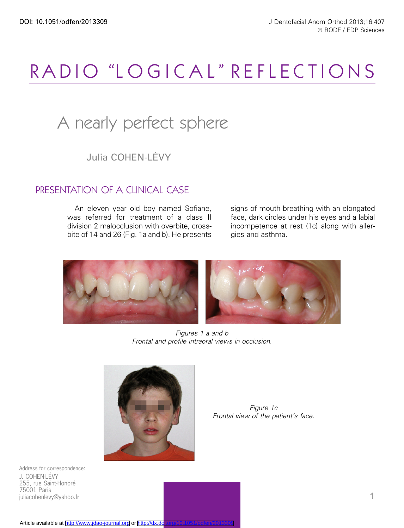# RADIO "LOGICAL" REFLECTIONS

## A nearly perfect sphere

Julia COHEN-LÉVY

## PRESENTATION OF A CLINICAL CASE

An eleven year old boy named Sofiane, was referred for treatment of a class II division 2 malocclusion with overbite, crossbite of 14 and 26 (Fig. 1a and b). He presents

signs of mouth breathing with an elongated face, dark circles under his eyes and a labial incompetence at rest (1c) along with allergies and asthma.



Figures 1 a and b Frontal and profile intraoral views in occlusion.



Figure 1c Frontal view of the patient's face.

Address for correspondence: J. COHEN-LE´VY 255, rue Saint-Honoré 75001 Paris juliacohenlevy@yahoo.fr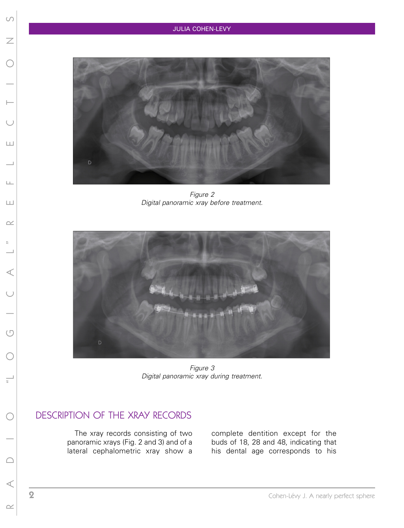

Figure 2 Digital panoramic xray before treatment.



Figure 3 Digital panoramic xray during treatment.

## DESCRIPTION OF THE XRAY RECORDS

The xray records consisting of two panoramic xrays (Fig. 2 and 3) and of a lateral cephalometric xray show a

complete dentition except for the buds of 18, 28 and 48, indicating that his dental age corresponds to his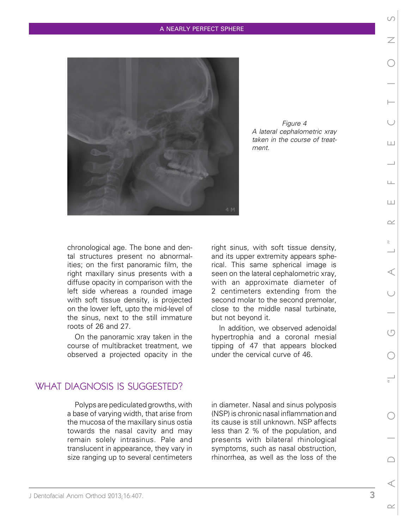#### A NEARLY PERFECT SPHERE



Figure 4 A lateral cephalometric xray taken in the course of treatment.

chronological age. The bone and dental structures present no abnormalities; on the first panoramic film, the right maxillary sinus presents with a diffuse opacity in comparison with the left side whereas a rounded image with soft tissue density, is projected on the lower left, upto the mid-level of the sinus, next to the still immature roots of 26 and 27.

On the panoramic xray taken in the course of multibracket treatment, we observed a projected opacity in the right sinus, with soft tissue density, and its upper extremity appears spherical. This same spherical image is seen on the lateral cephalometric xray, with an approximate diameter of 2 centimeters extending from the second molar to the second premolar, close to the middle nasal turbinate, but not beyond it.

In addition, we observed adenoidal hypertrophia and a coronal mesial tipping of 47 that appears blocked under the cervical curve of 46.

## WHAT DIAGNOSIS IS SUGGESTED?

Polyps are pediculated growths, with a base of varying width, that arise from the mucosa of the maxillary sinus ostia towards the nasal cavity and may remain solely intrasinus. Pale and translucent in appearance, they vary in size ranging up to several centimeters in diameter. Nasal and sinus polyposis (NSP) is chronic nasal inflammation and its cause is still unknown. NSP affects less than 2 % of the population, and presents with bilateral rhinological symptoms, such as nasal obstruction, rhinorrhea, as well as the loss of the

J Dentofacial Anom Orthod 2013;16:407. 3

 $\overline{\diagup}$ 

 $| + |$ 

 $\Box$ 

Ш

 $\sim$ 

 $\sim$ 

 $(\Box$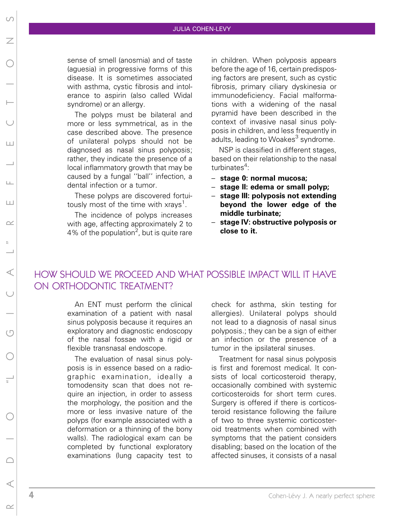#### JULIA COHEN-LEVY

sense of smell (anosmia) and of taste (aguesia) in progressive forms of this disease. It is sometimes associated with asthma, cystic fibrosis and intolerance to aspirin (also called Widal syndrome) or an allergy.

The polyps must be bilateral and more or less symmetrical, as in the case described above. The presence of unilateral polyps should not be diagnosed as nasal sinus polyposis; rather, they indicate the presence of a local inflammatory growth that may be caused by a fungal ''ball'' infection, a dental infection or a tumor.

These polyps are discovered fortuitously most of the time with xrays<sup>1</sup>.

The incidence of polyps increases with age, affecting approximately 2 to 4% of the population<sup>2</sup>, but is quite rare

in children. When polyposis appears before the age of 16, certain predisposing factors are present, such as cystic fibrosis, primary ciliary dyskinesia or immunodeficiency. Facial malformations with a widening of the nasal pyramid have been described in the context of invasive nasal sinus polyposis in children, and less frequently in adults, leading to Woakes<sup>3</sup> syndrome.

NSP is classified in different stages, based on their relationship to the nasal turbinates<sup>4</sup>:

- stage 0: normal mucosa;
- stage II: edema or small polyp;
- stage III: polyposis not extending beyond the lower edge of the middle turbinate;
- stage IV: obstructive polyposis or close to it.

## HOW SHOULD WE PROCEED AND WHAT POSSIBLE IMPACT WILL IT HAVE ON ORTHODONTIC TREATMENT?

An ENT must perform the clinical examination of a patient with nasal sinus polyposis because it requires an exploratory and diagnostic endoscopy of the nasal fossae with a rigid or flexible transnasal endoscope.

The evaluation of nasal sinus polyposis is in essence based on a radiographic examination, ideally a tomodensity scan that does not require an injection, in order to assess the morphology, the position and the more or less invasive nature of the polyps (for example associated with a deformation or a thinning of the bony walls). The radiological exam can be completed by functional exploratory examinations (lung capacity test to check for asthma, skin testing for allergies). Unilateral polyps should not lead to a diagnosis of nasal sinus polyposis.; they can be a sign of either an infection or the presence of a tumor in the ipsilateral sinuses.

Treatment for nasal sinus polyposis is first and foremost medical. It consists of local corticosteroid therapy, occasionally combined with systemic corticosteroids for short term cures. Surgery is offered if there is corticosteroid resistance following the failure of two to three systemic corticosteroid treatments when combined with symptoms that the patient considers disabling; based on the location of the affected sinuses, it consists of a nasal

R A D I O ''L O G I C A L '' R E F L E C T I O N S

 $\triangleleft$ 

 $(\Box$ 

 $\bigcap$ 

 $\sim$ 

 $\overline{\phantom{a}}$ 

 $1+1$ 

 $\Box$ 

 $\begin{array}{c} \square \end{array}$ 

 $\sim$